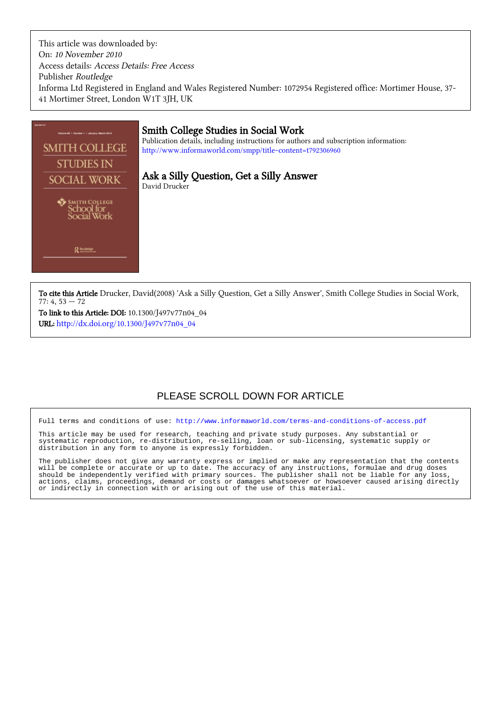This article was downloaded by: On: 10 November 2010 Access details: Access Details: Free Access Publisher Routledge Informa Ltd Registered in England and Wales Registered Number: 1072954 Registered office: Mortimer House, 37- 41 Mortimer Street, London W1T 3JH, UK



To cite this Article Drucker, David(2008) 'Ask a Silly Question, Get a Silly Answer', Smith College Studies in Social Work,  $77:4,53 - 72$ 

To link to this Article: DOI: 10.1300/J497v77n04\_04 URL: [http://dx.doi.org/10.1300/J497v77n04\\_04](http://dx.doi.org/10.1300/J497v77n04_04)

# PLEASE SCROLL DOWN FOR ARTICLE

Full terms and conditions of use:<http://www.informaworld.com/terms-and-conditions-of-access.pdf>

This article may be used for research, teaching and private study purposes. Any substantial or systematic reproduction, re-distribution, re-selling, loan or sub-licensing, systematic supply or distribution in any form to anyone is expressly forbidden.

The publisher does not give any warranty express or implied or make any representation that the contents will be complete or accurate or up to date. The accuracy of any instructions, formulae and drug doses should be independently verified with primary sources. The publisher shall not be liable for any loss, actions, claims, proceedings, demand or costs or damages whatsoever or howsoever caused arising directly or indirectly in connection with or arising out of the use of this material.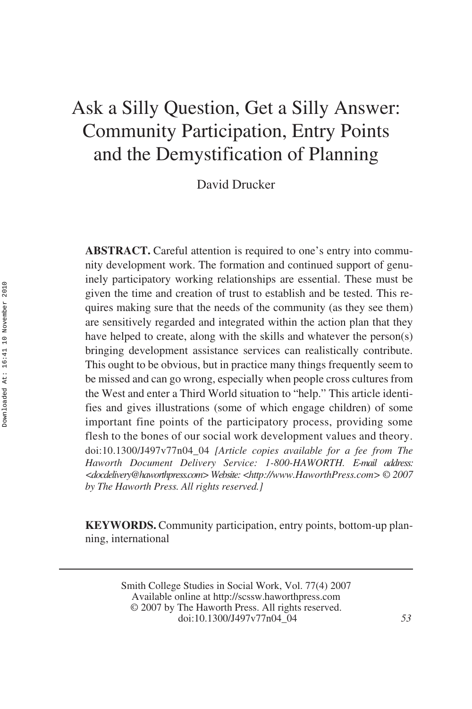# Ask a Silly Question, Get a Silly Answer: Community Participation, Entry Points and the Demystification of Planning

David Drucker

**ABSTRACT.** Careful attention is required to one's entry into community development work. The formation and continued support of genuinely participatory working relationships are essential. These must be given the time and creation of trust to establish and be tested. This requires making sure that the needs of the community (as they see them) are sensitively regarded and integrated within the action plan that they have helped to create, along with the skills and whatever the person(s) bringing development assistance services can realistically contribute. This ought to be obvious, but in practice many things frequently seem to be missed and can go wrong, especially when people cross cultures from the West and enter a Third World situation to "help." This article identifies and gives illustrations (some of which engage children) of some important fine points of the participatory process, providing some flesh to the bones of our social work development values and theory. doi:10.1300/J497v77n04\_04 *[Article copies available for a fee from The Haworth Document Delivery Service: 1-800-HAWORTH. E-mail address: <docdelivery@haworthpress.com> Website: <http://www.HaworthPress.com> © 2007 by The Haworth Press. All rights reserved.]*

**KEYWORDS.** Community participation, entry points, bottom-up planning, international

> Smith College Studies in Social Work, Vol. 77(4) 2007 Available online at http://scssw.haworthpress.com © 2007 by The Haworth Press. All rights reserved. doi:10.1300/J497v77n04\_04 *53*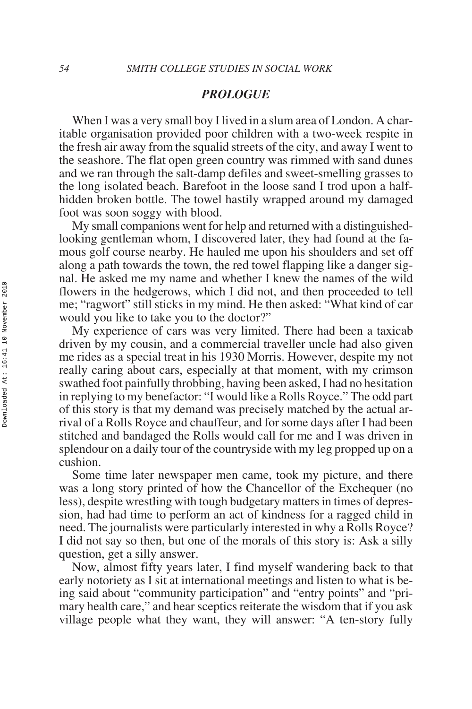# *PROLOGUE*

When I was a very small boy I lived in a slum area of London. A charitable organisation provided poor children with a two-week respite in the fresh air away from the squalid streets of the city, and away I went to the seashore. The flat open green country was rimmed with sand dunes and we ran through the salt-damp defiles and sweet-smelling grasses to the long isolated beach. Barefoot in the loose sand I trod upon a halfhidden broken bottle. The towel hastily wrapped around my damaged foot was soon soggy with blood.

My small companions went for help and returned with a distinguishedlooking gentleman whom, I discovered later, they had found at the famous golf course nearby. He hauled me upon his shoulders and set off along a path towards the town, the red towel flapping like a danger signal. He asked me my name and whether I knew the names of the wild flowers in the hedgerows, which I did not, and then proceeded to tell me; "ragwort" still sticks in my mind. He then asked: "What kind of car would you like to take you to the doctor?"

My experience of cars was very limited. There had been a taxicab driven by my cousin, and a commercial traveller uncle had also given me rides as a special treat in his 1930 Morris. However, despite my not really caring about cars, especially at that moment, with my crimson swathed foot painfully throbbing, having been asked, I had no hesitation in replying to my benefactor: "I would like a Rolls Royce." The odd part of this story is that my demand was precisely matched by the actual arrival of a Rolls Royce and chauffeur, and for some days after I had been stitched and bandaged the Rolls would call for me and I was driven in splendour on a daily tour of the countryside with my leg propped up on a cushion.

Some time later newspaper men came, took my picture, and there was a long story printed of how the Chancellor of the Exchequer (no less), despite wrestling with tough budgetary matters in times of depression, had had time to perform an act of kindness for a ragged child in need. The journalists were particularly interested in why a Rolls Royce? I did not say so then, but one of the morals of this story is: Ask a silly question, get a silly answer.

Now, almost fifty years later, I find myself wandering back to that early notoriety as I sit at international meetings and listen to what is being said about "community participation" and "entry points" and "primary health care," and hear sceptics reiterate the wisdom that if you ask village people what they want, they will answer: "A ten-story fully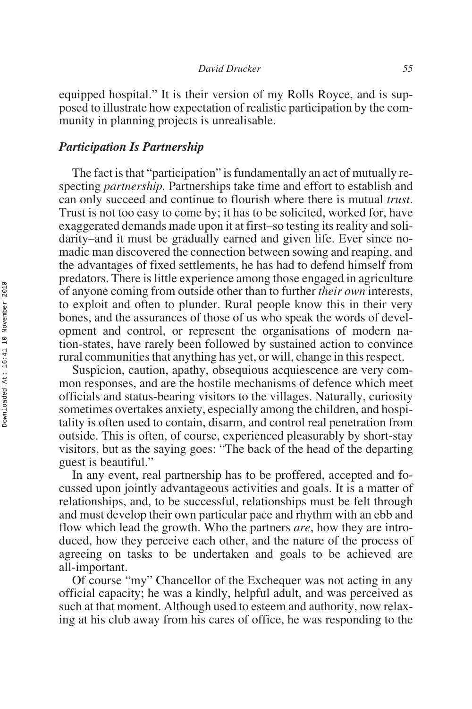equipped hospital." It is their version of my Rolls Royce, and is supposed to illustrate how expectation of realistic participation by the community in planning projects is unrealisable.

# *Participation Is Partnership*

The fact is that "participation" is fundamentally an act of mutually respecting *partnership.* Partnerships take time and effort to establish and can only succeed and continue to flourish where there is mutual *trust*. Trust is not too easy to come by; it has to be solicited, worked for, have exaggerated demands made upon it at first–so testing its reality and solidarity–and it must be gradually earned and given life. Ever since nomadic man discovered the connection between sowing and reaping, and the advantages of fixed settlements, he has had to defend himself from predators. There is little experience among those engaged in agriculture of anyone coming from outside other than to further *their own* interests, to exploit and often to plunder. Rural people know this in their very bones, and the assurances of those of us who speak the words of development and control, or represent the organisations of modern nation-states, have rarely been followed by sustained action to convince rural communities that anything has yet, or will, change in this respect.

Suspicion, caution, apathy, obsequious acquiescence are very common responses, and are the hostile mechanisms of defence which meet officials and status-bearing visitors to the villages. Naturally, curiosity sometimes overtakes anxiety, especially among the children, and hospitality is often used to contain, disarm, and control real penetration from outside. This is often, of course, experienced pleasurably by short-stay visitors, but as the saying goes: "The back of the head of the departing guest is beautiful."

In any event, real partnership has to be proffered, accepted and focussed upon jointly advantageous activities and goals. It is a matter of relationships, and, to be successful, relationships must be felt through and must develop their own particular pace and rhythm with an ebb and flow which lead the growth. Who the partners *are*, how they are introduced, how they perceive each other, and the nature of the process of agreeing on tasks to be undertaken and goals to be achieved are all-important.

Of course "my" Chancellor of the Exchequer was not acting in any official capacity; he was a kindly, helpful adult, and was perceived as such at that moment. Although used to esteem and authority, now relaxing at his club away from his cares of office, he was responding to the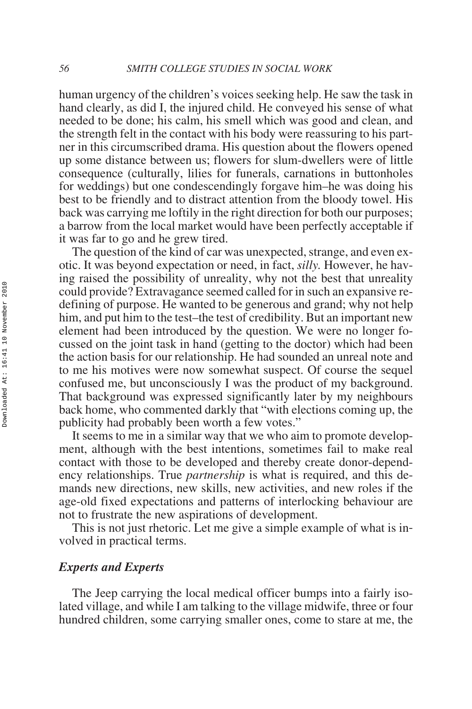human urgency of the children's voices seeking help. He saw the task in hand clearly, as did I, the injured child. He conveyed his sense of what needed to be done; his calm, his smell which was good and clean, and the strength felt in the contact with his body were reassuring to his partner in this circumscribed drama. His question about the flowers opened up some distance between us; flowers for slum-dwellers were of little consequence (culturally, lilies for funerals, carnations in buttonholes for weddings) but one condescendingly forgave him–he was doing his best to be friendly and to distract attention from the bloody towel. His back was carrying me loftily in the right direction for both our purposes; a barrow from the local market would have been perfectly acceptable if it was far to go and he grew tired.

The question of the kind of car was unexpected, strange, and even exotic. It was beyond expectation or need, in fact, *silly.* However, he having raised the possibility of unreality, why not the best that unreality could provide? Extravagance seemed called for in such an expansive redefining of purpose. He wanted to be generous and grand; why not help him, and put him to the test–the test of credibility. But an important new element had been introduced by the question. We were no longer focussed on the joint task in hand (getting to the doctor) which had been the action basis for our relationship. He had sounded an unreal note and to me his motives were now somewhat suspect. Of course the sequel confused me, but unconsciously I was the product of my background. That background was expressed significantly later by my neighbours back home, who commented darkly that "with elections coming up, the publicity had probably been worth a few votes."

It seems to me in a similar way that we who aim to promote development, although with the best intentions, sometimes fail to make real contact with those to be developed and thereby create donor-dependency relationships. True *partnership* is what is required, and this demands new directions, new skills, new activities, and new roles if the age-old fixed expectations and patterns of interlocking behaviour are not to frustrate the new aspirations of development.

This is not just rhetoric. Let me give a simple example of what is involved in practical terms.

# *Experts and Experts*

The Jeep carrying the local medical officer bumps into a fairly isolated village, and while I am talking to the village midwife, three or four hundred children, some carrying smaller ones, come to stare at me, the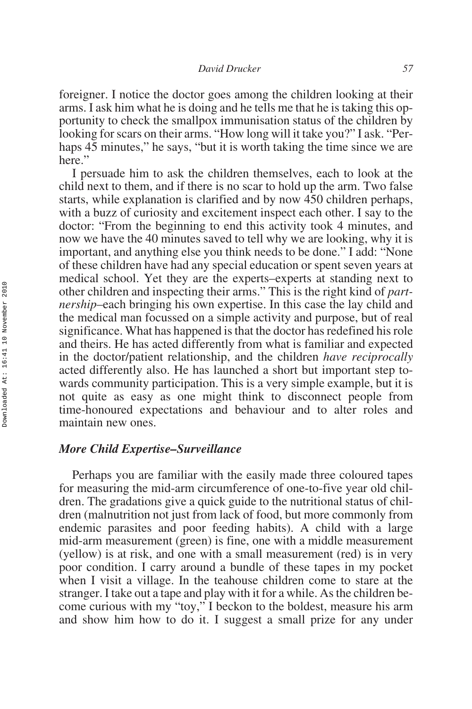foreigner. I notice the doctor goes among the children looking at their arms. I ask him what he is doing and he tells me that he is taking this opportunity to check the smallpox immunisation status of the children by looking for scars on their arms. "How long will it take you?" I ask. "Perhaps 45 minutes," he says, "but it is worth taking the time since we are here."

I persuade him to ask the children themselves, each to look at the child next to them, and if there is no scar to hold up the arm. Two false starts, while explanation is clarified and by now 450 children perhaps, with a buzz of curiosity and excitement inspect each other. I say to the doctor: "From the beginning to end this activity took 4 minutes, and now we have the 40 minutes saved to tell why we are looking, why it is important, and anything else you think needs to be done." I add: "None of these children have had any special education or spent seven years at medical school. Yet they are the experts–experts at standing next to other children and inspecting their arms." This is the right kind of *partnership*–each bringing his own expertise. In this case the lay child and the medical man focussed on a simple activity and purpose, but of real significance. What has happened is that the doctor has redefined his role and theirs. He has acted differently from what is familiar and expected in the doctor/patient relationship, and the children *have reciprocally* acted differently also. He has launched a short but important step towards community participation. This is a very simple example, but it is not quite as easy as one might think to disconnect people from time-honoured expectations and behaviour and to alter roles and maintain new ones.

# *More Child Expertise–Surveillance*

Perhaps you are familiar with the easily made three coloured tapes for measuring the mid-arm circumference of one-to-five year old children. The gradations give a quick guide to the nutritional status of children (malnutrition not just from lack of food, but more commonly from endemic parasites and poor feeding habits). A child with a large mid-arm measurement (green) is fine, one with a middle measurement (yellow) is at risk, and one with a small measurement (red) is in very poor condition. I carry around a bundle of these tapes in my pocket when I visit a village. In the teahouse children come to stare at the stranger. I take out a tape and play with it for a while. As the children become curious with my "toy," I beckon to the boldest, measure his arm and show him how to do it. I suggest a small prize for any under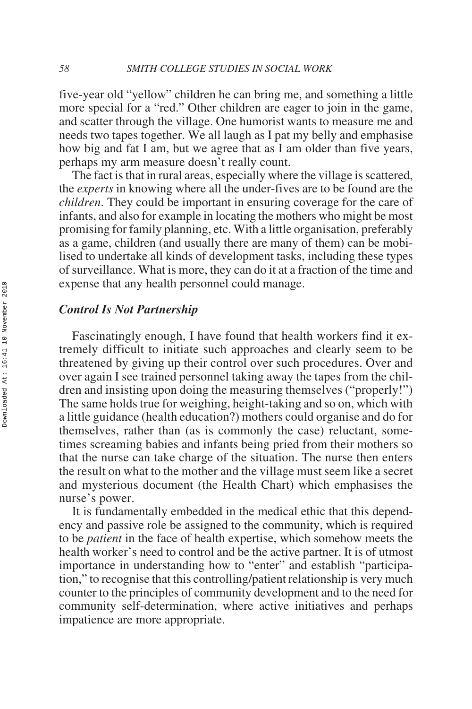five-year old "yellow" children he can bring me, and something a little more special for a "red." Other children are eager to join in the game, and scatter through the village. One humorist wants to measure me and needs two tapes together. We all laugh as I pat my belly and emphasise how big and fat I am, but we agree that as I am older than five years, perhaps my arm measure doesn't really count.

The fact is that in rural areas, especially where the village is scattered, the *experts* in knowing where all the under-fives are to be found are the *children*. They could be important in ensuring coverage for the care of infants, and also for example in locating the mothers who might be most promising for family planning, etc. With a little organisation, preferably as a game, children (and usually there are many of them) can be mobilised to undertake all kinds of development tasks, including these types of surveillance. What is more, they can do it at a fraction of the time and expense that any health personnel could manage.

# *Control Is Not Partnership*

Fascinatingly enough, I have found that health workers find it extremely difficult to initiate such approaches and clearly seem to be threatened by giving up their control over such procedures. Over and over again I see trained personnel taking away the tapes from the children and insisting upon doing the measuring themselves ("properly!") The same holds true for weighing, height-taking and so on, which with a little guidance (health education?) mothers could organise and do for themselves, rather than (as is commonly the case) reluctant, sometimes screaming babies and infants being pried from their mothers so that the nurse can take charge of the situation. The nurse then enters the result on what to the mother and the village must seem like a secret and mysterious document (the Health Chart) which emphasises the nurse's power.

It is fundamentally embedded in the medical ethic that this dependency and passive role be assigned to the community, which is required to be *patient* in the face of health expertise, which somehow meets the health worker's need to control and be the active partner. It is of utmost importance in understanding how to "enter" and establish "participation," to recognise that this controlling/patient relationship is very much counter to the principles of community development and to the need for community self-determination, where active initiatives and perhaps impatience are more appropriate.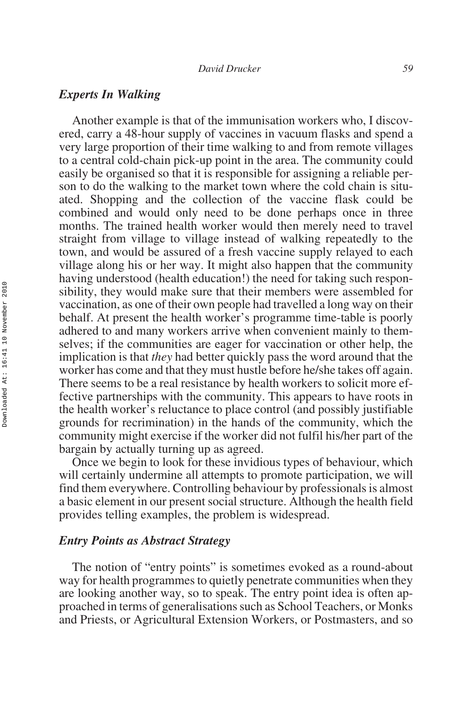# *Experts In Walking*

Another example is that of the immunisation workers who, I discovered, carry a 48-hour supply of vaccines in vacuum flasks and spend a very large proportion of their time walking to and from remote villages to a central cold-chain pick-up point in the area. The community could easily be organised so that it is responsible for assigning a reliable person to do the walking to the market town where the cold chain is situated. Shopping and the collection of the vaccine flask could be combined and would only need to be done perhaps once in three months. The trained health worker would then merely need to travel straight from village to village instead of walking repeatedly to the town, and would be assured of a fresh vaccine supply relayed to each village along his or her way. It might also happen that the community having understood (health education!) the need for taking such responsibility, they would make sure that their members were assembled for vaccination, as one of their own people had travelled a long way on their behalf. At present the health worker's programme time-table is poorly adhered to and many workers arrive when convenient mainly to themselves; if the communities are eager for vaccination or other help, the implication is that *they* had better quickly pass the word around that the worker has come and that they must hustle before he/she takes off again. There seems to be a real resistance by health workers to solicit more effective partnerships with the community. This appears to have roots in the health worker's reluctance to place control (and possibly justifiable grounds for recrimination) in the hands of the community, which the community might exercise if the worker did not fulfil his/her part of the bargain by actually turning up as agreed.

Once we begin to look for these invidious types of behaviour, which will certainly undermine all attempts to promote participation, we will find them everywhere. Controlling behaviour by professionals is almost a basic element in our present social structure. Although the health field provides telling examples, the problem is widespread.

# *Entry Points as Abstract Strategy*

The notion of "entry points" is sometimes evoked as a round-about way for health programmes to quietly penetrate communities when they are looking another way, so to speak. The entry point idea is often approached in terms of generalisations such as School Teachers, or Monks and Priests, or Agricultural Extension Workers, or Postmasters, and so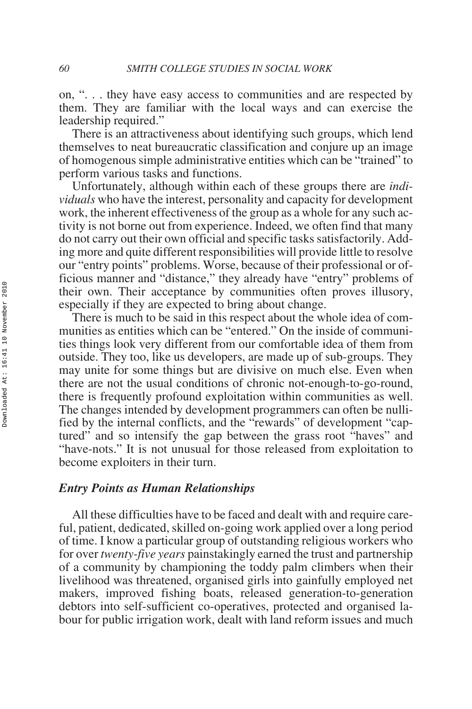on, ". . . they have easy access to communities and are respected by them. They are familiar with the local ways and can exercise the leadership required."

There is an attractiveness about identifying such groups, which lend themselves to neat bureaucratic classification and conjure up an image of homogenous simple administrative entities which can be "trained" to perform various tasks and functions.

Unfortunately, although within each of these groups there are *individuals* who have the interest, personality and capacity for development work, the inherent effectiveness of the group as a whole for any such activity is not borne out from experience. Indeed, we often find that many do not carry out their own official and specific tasks satisfactorily. Adding more and quite different responsibilities will provide little to resolve our "entry points" problems. Worse, because of their professional or officious manner and "distance," they already have "entry" problems of their own. Their acceptance by communities often proves illusory, especially if they are expected to bring about change.

There is much to be said in this respect about the whole idea of communities as entities which can be "entered." On the inside of communities things look very different from our comfortable idea of them from outside. They too, like us developers, are made up of sub-groups. They may unite for some things but are divisive on much else. Even when there are not the usual conditions of chronic not-enough-to-go-round, there is frequently profound exploitation within communities as well. The changes intended by development programmers can often be nullified by the internal conflicts, and the "rewards" of development "captured" and so intensify the gap between the grass root "haves" and "have-nots." It is not unusual for those released from exploitation to become exploiters in their turn.

# *Entry Points as Human Relationships*

All these difficulties have to be faced and dealt with and require careful, patient, dedicated, skilled on-going work applied over a long period of time. I know a particular group of outstanding religious workers who for over *twenty-five years* painstakingly earned the trust and partnership of a community by championing the toddy palm climbers when their livelihood was threatened, organised girls into gainfully employed net makers, improved fishing boats, released generation-to-generation debtors into self-sufficient co-operatives, protected and organised labour for public irrigation work, dealt with land reform issues and much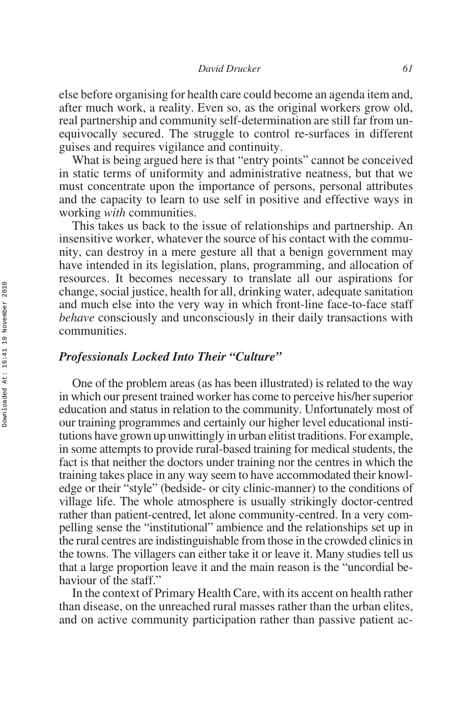else before organising for health care could become an agenda item and, after much work, a reality. Even so, as the original workers grow old, real partnership and community self-determination are still far from unequivocally secured. The struggle to control re-surfaces in different guises and requires vigilance and continuity.

What is being argued here is that "entry points" cannot be conceived in static terms of uniformity and administrative neatness, but that we must concentrate upon the importance of persons, personal attributes and the capacity to learn to use self in positive and effective ways in working *with* communities.

This takes us back to the issue of relationships and partnership. An insensitive worker, whatever the source of his contact with the community, can destroy in a mere gesture all that a benign government may have intended in its legislation, plans, programming, and allocation of resources. It becomes necessary to translate all our aspirations for change, social justice, health for all, drinking water, adequate sanitation and much else into the very way in which front-line face-to-face staff *behave* consciously and unconsciously in their daily transactions with communities.

# *Professionals Locked Into Their "Culture"*

One of the problem areas (as has been illustrated) is related to the way in which our present trained worker has come to perceive his/her superior education and status in relation to the community. Unfortunately most of our training programmes and certainly our higher level educational institutions have grown up unwittingly in urban elitist traditions. For example, in some attempts to provide rural-based training for medical students, the fact is that neither the doctors under training nor the centres in which the training takes place in any way seem to have accommodated their knowledge or their "style" (bedside- or city clinic-manner) to the conditions of village life. The whole atmosphere is usually strikingly doctor-centred rather than patient-centred, let alone community-centred. In a very compelling sense the "institutional" ambience and the relationships set up in the rural centres are indistinguishable from those in the crowded clinics in the towns. The villagers can either take it or leave it. Many studies tell us that a large proportion leave it and the main reason is the "uncordial behaviour of the staff."

In the context of Primary Health Care, with its accent on health rather than disease, on the unreached rural masses rather than the urban elites, and on active community participation rather than passive patient ac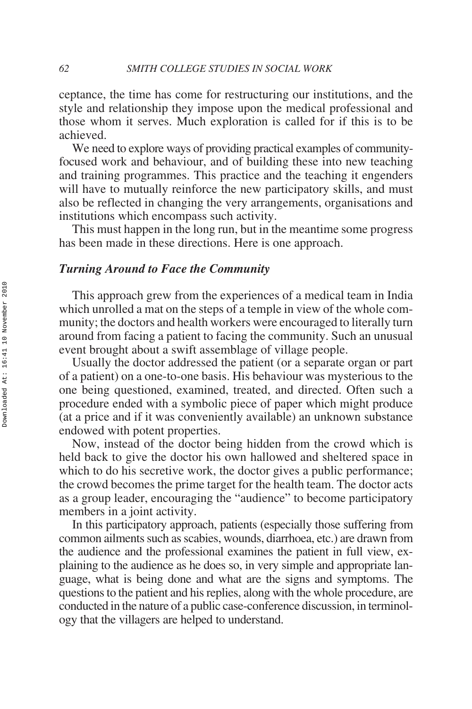ceptance, the time has come for restructuring our institutions, and the style and relationship they impose upon the medical professional and those whom it serves. Much exploration is called for if this is to be achieved.

We need to explore ways of providing practical examples of communityfocused work and behaviour, and of building these into new teaching and training programmes. This practice and the teaching it engenders will have to mutually reinforce the new participatory skills, and must also be reflected in changing the very arrangements, organisations and institutions which encompass such activity.

This must happen in the long run, but in the meantime some progress has been made in these directions. Here is one approach.

# *Turning Around to Face the Community*

This approach grew from the experiences of a medical team in India which unrolled a mat on the steps of a temple in view of the whole community; the doctors and health workers were encouraged to literally turn around from facing a patient to facing the community. Such an unusual event brought about a swift assemblage of village people.

Usually the doctor addressed the patient (or a separate organ or part of a patient) on a one-to-one basis. His behaviour was mysterious to the one being questioned, examined, treated, and directed. Often such a procedure ended with a symbolic piece of paper which might produce (at a price and if it was conveniently available) an unknown substance endowed with potent properties.

Now, instead of the doctor being hidden from the crowd which is held back to give the doctor his own hallowed and sheltered space in which to do his secretive work, the doctor gives a public performance; the crowd becomes the prime target for the health team. The doctor acts as a group leader, encouraging the "audience" to become participatory members in a joint activity.

In this participatory approach, patients (especially those suffering from common ailments such as scabies, wounds, diarrhoea, etc.) are drawn from the audience and the professional examines the patient in full view, explaining to the audience as he does so, in very simple and appropriate language, what is being done and what are the signs and symptoms. The questions to the patient and his replies, along with the whole procedure, are conducted in the nature of a public case-conference discussion, in terminology that the villagers are helped to understand.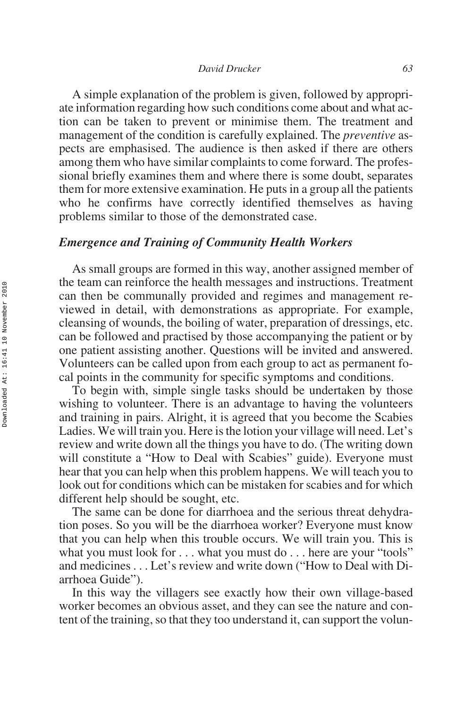A simple explanation of the problem is given, followed by appropriate information regarding how such conditions come about and what action can be taken to prevent or minimise them. The treatment and management of the condition is carefully explained. The *preventive* aspects are emphasised. The audience is then asked if there are others among them who have similar complaints to come forward. The professional briefly examines them and where there is some doubt, separates them for more extensive examination. He puts in a group all the patients who he confirms have correctly identified themselves as having problems similar to those of the demonstrated case.

# *Emergence and Training of Community Health Workers*

As small groups are formed in this way, another assigned member of the team can reinforce the health messages and instructions. Treatment can then be communally provided and regimes and management reviewed in detail, with demonstrations as appropriate. For example, cleansing of wounds, the boiling of water, preparation of dressings, etc. can be followed and practised by those accompanying the patient or by one patient assisting another. Questions will be invited and answered. Volunteers can be called upon from each group to act as permanent focal points in the community for specific symptoms and conditions.

To begin with, simple single tasks should be undertaken by those wishing to volunteer. There is an advantage to having the volunteers and training in pairs. Alright, it is agreed that you become the Scabies Ladies. We will train you. Here is the lotion your village will need. Let's review and write down all the things you have to do. (The writing down will constitute a "How to Deal with Scabies" guide). Everyone must hear that you can help when this problem happens. We will teach you to look out for conditions which can be mistaken for scabies and for which different help should be sought, etc.

The same can be done for diarrhoea and the serious threat dehydration poses. So you will be the diarrhoea worker? Everyone must know that you can help when this trouble occurs. We will train you. This is what you must look for . . . what you must do . . . here are your "tools" and medicines . . . Let's review and write down ("How to Deal with Diarrhoea Guide").

In this way the villagers see exactly how their own village-based worker becomes an obvious asset, and they can see the nature and content of the training, so that they too understand it, can support the volun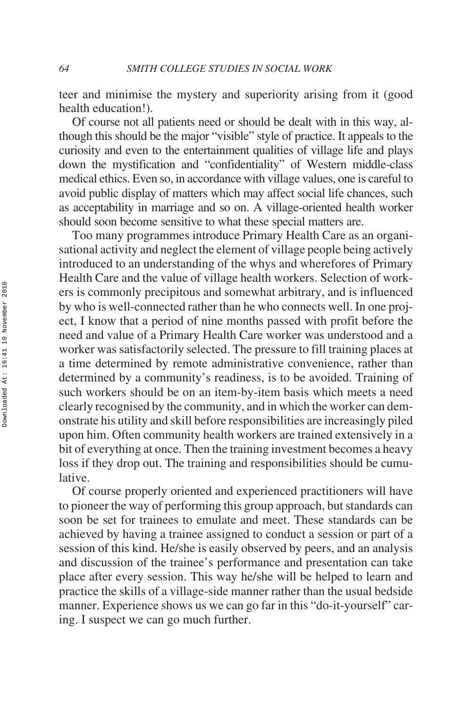teer and minimise the mystery and superiority arising from it (good health education!).

Of course not all patients need or should be dealt with in this way, although this should be the major "visible" style of practice. It appeals to the curiosity and even to the entertainment qualities of village life and plays down the mystification and "confidentiality" of Western middle-class medical ethics. Even so, in accordance with village values, one is careful to avoid public display of matters which may affect social life chances, such as acceptability in marriage and so on. A village-oriented health worker should soon become sensitive to what these special matters are.

Too many programmes introduce Primary Health Care as an organisational activity and neglect the element of village people being actively introduced to an understanding of the whys and wherefores of Primary Health Care and the value of village health workers. Selection of workers is commonly precipitous and somewhat arbitrary, and is influenced by who is well-connected rather than he who connects well. In one project, I know that a period of nine months passed with profit before the need and value of a Primary Health Care worker was understood and a worker was satisfactorily selected. The pressure to fill training places at a time determined by remote administrative convenience, rather than determined by a community's readiness, is to be avoided. Training of such workers should be on an item-by-item basis which meets a need clearly recognised by the community, and in which the worker can demonstrate his utility and skill before responsibilities are increasingly piled upon him. Often community health workers are trained extensively in a bit of everything at once. Then the training investment becomes a heavy loss if they drop out. The training and responsibilities should be cumulative.

Of course properly oriented and experienced practitioners will have to pioneer the way of performing this group approach, but standards can soon be set for trainees to emulate and meet. These standards can be achieved by having a trainee assigned to conduct a session or part of a session of this kind. He/she is easily observed by peers, and an analysis and discussion of the trainee's performance and presentation can take place after every session. This way he/she will be helped to learn and practice the skills of a village-side manner rather than the usual bedside manner. Experience shows us we can go far in this "do-it-yourself" caring. I suspect we can go much further.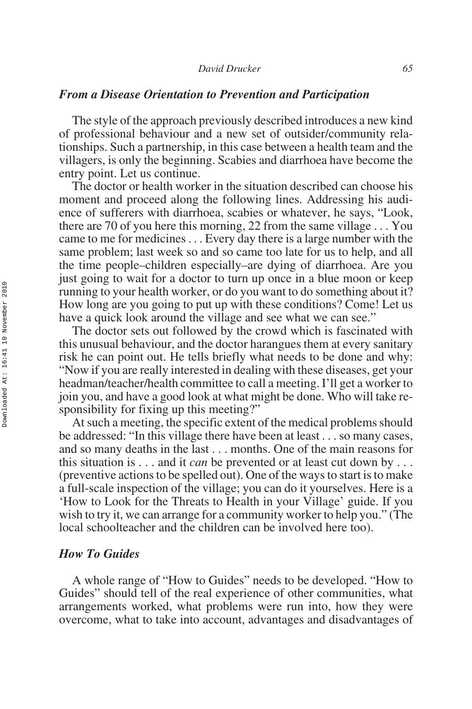# *From a Disease Orientation to Prevention and Participation*

The style of the approach previously described introduces a new kind of professional behaviour and a new set of outsider/community relationships. Such a partnership, in this case between a health team and the villagers, is only the beginning. Scabies and diarrhoea have become the entry point. Let us continue.

The doctor or health worker in the situation described can choose his moment and proceed along the following lines. Addressing his audience of sufferers with diarrhoea, scabies or whatever, he says, "Look, there are 70 of you here this morning, 22 from the same village . . . You came to me for medicines . . . Every day there is a large number with the same problem; last week so and so came too late for us to help, and all the time people–children especially–are dying of diarrhoea. Are you just going to wait for a doctor to turn up once in a blue moon or keep running to your health worker, or do you want to do something about it? How long are you going to put up with these conditions? Come! Let us have a quick look around the village and see what we can see."

The doctor sets out followed by the crowd which is fascinated with this unusual behaviour, and the doctor harangues them at every sanitary risk he can point out. He tells briefly what needs to be done and why: "Now if you are really interested in dealing with these diseases, get your headman/teacher/health committee to call a meeting. I'll get a worker to join you, and have a good look at what might be done. Who will take responsibility for fixing up this meeting?"

At such a meeting, the specific extent of the medical problems should be addressed: "In this village there have been at least . . . so many cases, and so many deaths in the last . . . months. One of the main reasons for this situation is . . . and it *can* be prevented or at least cut down by . . . (preventive actions to be spelled out). One of the ways to start is to make a full-scale inspection of the village; you can do it yourselves. Here is a 'How to Look for the Threats to Health in your Village' guide. If you wish to try it, we can arrange for a community worker to help you." (The local schoolteacher and the children can be involved here too).

# *How To Guides*

A whole range of "How to Guides" needs to be developed. "How to Guides" should tell of the real experience of other communities, what arrangements worked, what problems were run into, how they were overcome, what to take into account, advantages and disadvantages of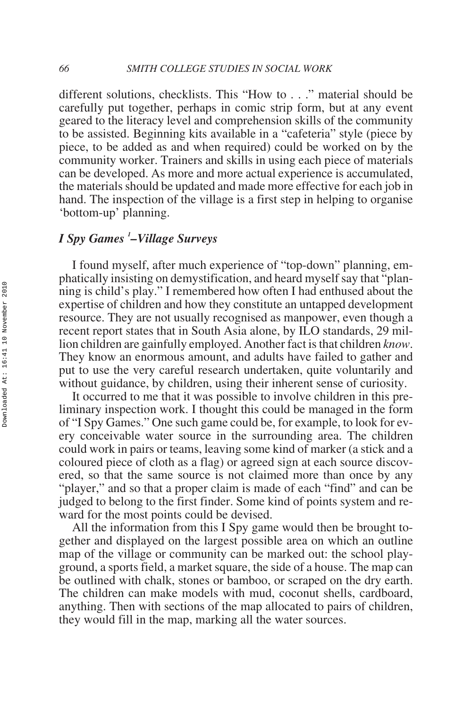different solutions, checklists. This "How to . . ." material should be carefully put together, perhaps in comic strip form, but at any event geared to the literacy level and comprehension skills of the community to be assisted. Beginning kits available in a "cafeteria" style (piece by piece, to be added as and when required) could be worked on by the community worker. Trainers and skills in using each piece of materials can be developed. As more and more actual experience is accumulated, the materials should be updated and made more effective for each job in hand. The inspection of the village is a first step in helping to organise 'bottom-up' planning.

# *I Spy Games <sup>1</sup> –Village Surveys*

I found myself, after much experience of "top-down" planning, emphatically insisting on demystification, and heard myself say that "planning is child's play." I remembered how often I had enthused about the expertise of children and how they constitute an untapped development resource. They are not usually recognised as manpower, even though a recent report states that in South Asia alone, by ILO standards, 29 million children are gainfully employed. Another fact is that children *know*. They know an enormous amount, and adults have failed to gather and put to use the very careful research undertaken, quite voluntarily and without guidance, by children, using their inherent sense of curiosity.

It occurred to me that it was possible to involve children in this preliminary inspection work. I thought this could be managed in the form of "I Spy Games." One such game could be, for example, to look for every conceivable water source in the surrounding area. The children could work in pairs or teams, leaving some kind of marker (a stick and a coloured piece of cloth as a flag) or agreed sign at each source discovered, so that the same source is not claimed more than once by any "player," and so that a proper claim is made of each "find" and can be judged to belong to the first finder. Some kind of points system and reward for the most points could be devised.

All the information from this I Spy game would then be brought together and displayed on the largest possible area on which an outline map of the village or community can be marked out: the school playground, a sports field, a market square, the side of a house. The map can be outlined with chalk, stones or bamboo, or scraped on the dry earth. The children can make models with mud, coconut shells, cardboard, anything. Then with sections of the map allocated to pairs of children, they would fill in the map, marking all the water sources.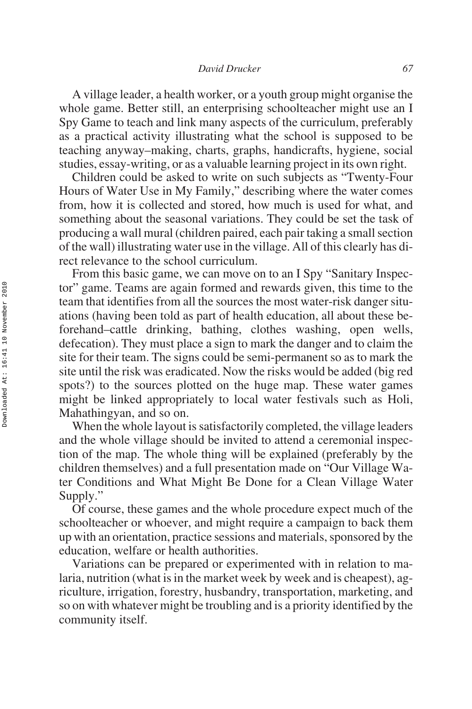A village leader, a health worker, or a youth group might organise the whole game. Better still, an enterprising schoolteacher might use an I Spy Game to teach and link many aspects of the curriculum, preferably as a practical activity illustrating what the school is supposed to be teaching anyway–making, charts, graphs, handicrafts, hygiene, social studies, essay-writing, or as a valuable learning project in its own right.

Children could be asked to write on such subjects as "Twenty-Four Hours of Water Use in My Family," describing where the water comes from, how it is collected and stored, how much is used for what, and something about the seasonal variations. They could be set the task of producing a wall mural (children paired, each pair taking a small section of the wall) illustrating water use in the village. All of this clearly has direct relevance to the school curriculum.

From this basic game, we can move on to an I Spy "Sanitary Inspector" game. Teams are again formed and rewards given, this time to the team that identifies from all the sources the most water-risk danger situations (having been told as part of health education, all about these beforehand–cattle drinking, bathing, clothes washing, open wells, defecation). They must place a sign to mark the danger and to claim the site for their team. The signs could be semi-permanent so as to mark the site until the risk was eradicated. Now the risks would be added (big red spots?) to the sources plotted on the huge map. These water games might be linked appropriately to local water festivals such as Holi, Mahathingyan, and so on.

When the whole layout is satisfactorily completed, the village leaders and the whole village should be invited to attend a ceremonial inspection of the map. The whole thing will be explained (preferably by the children themselves) and a full presentation made on "Our Village Water Conditions and What Might Be Done for a Clean Village Water Supply."

Of course, these games and the whole procedure expect much of the schoolteacher or whoever, and might require a campaign to back them up with an orientation, practice sessions and materials, sponsored by the education, welfare or health authorities.

Variations can be prepared or experimented with in relation to malaria, nutrition (what is in the market week by week and is cheapest), agriculture, irrigation, forestry, husbandry, transportation, marketing, and so on with whatever might be troubling and is a priority identified by the community itself.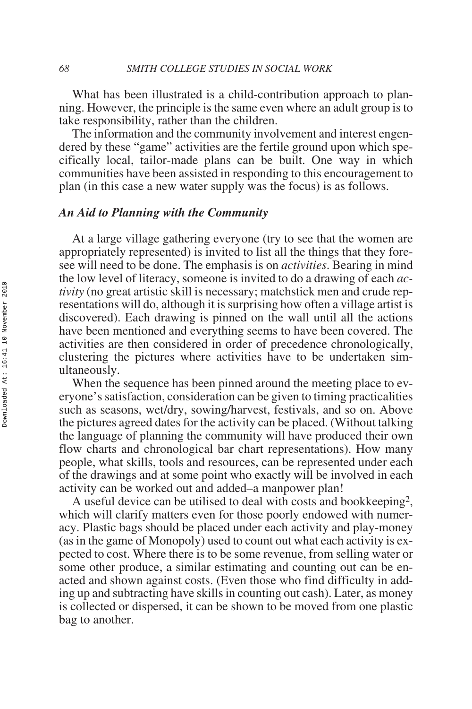#### *68 SMITH COLLEGE STUDIES IN SOCIAL WORK*

What has been illustrated is a child-contribution approach to planning. However, the principle is the same even where an adult group is to take responsibility, rather than the children.

The information and the community involvement and interest engendered by these "game" activities are the fertile ground upon which specifically local, tailor-made plans can be built. One way in which communities have been assisted in responding to this encouragement to plan (in this case a new water supply was the focus) is as follows.

# *An Aid to Planning with the Community*

At a large village gathering everyone (try to see that the women are appropriately represented) is invited to list all the things that they foresee will need to be done. The emphasis is on *activities*. Bearing in mind the low level of literacy, someone is invited to do a drawing of each *activity* (no great artistic skill is necessary; matchstick men and crude representations will do, although it is surprising how often a village artist is discovered). Each drawing is pinned on the wall until all the actions have been mentioned and everything seems to have been covered. The activities are then considered in order of precedence chronologically, clustering the pictures where activities have to be undertaken simultaneously.

When the sequence has been pinned around the meeting place to everyone's satisfaction, consideration can be given to timing practicalities such as seasons, wet/dry, sowing/harvest, festivals, and so on. Above the pictures agreed dates for the activity can be placed. (Without talking the language of planning the community will have produced their own flow charts and chronological bar chart representations). How many people, what skills, tools and resources, can be represented under each of the drawings and at some point who exactly will be involved in each activity can be worked out and added–a manpower plan!

A useful device can be utilised to deal with costs and bookkeeping2, which will clarify matters even for those poorly endowed with numeracy. Plastic bags should be placed under each activity and play-money (as in the game of Monopoly) used to count out what each activity is expected to cost. Where there is to be some revenue, from selling water or some other produce, a similar estimating and counting out can be enacted and shown against costs. (Even those who find difficulty in adding up and subtracting have skills in counting out cash). Later, as money is collected or dispersed, it can be shown to be moved from one plastic bag to another.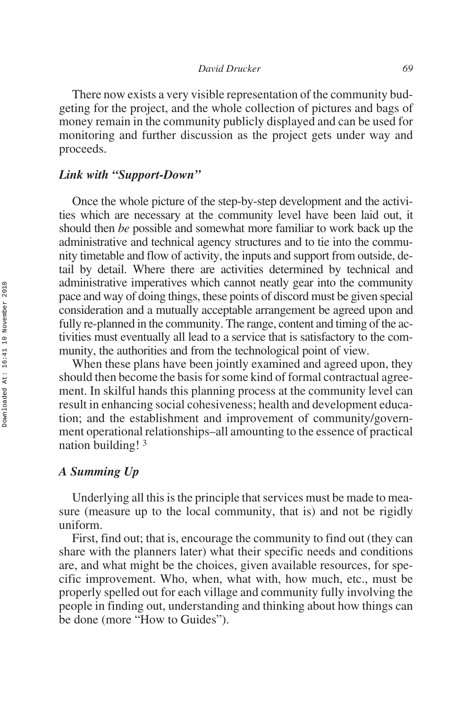There now exists a very visible representation of the community budgeting for the project, and the whole collection of pictures and bags of money remain in the community publicly displayed and can be used for monitoring and further discussion as the project gets under way and proceeds.

# *Link with "Support-Down"*

Once the whole picture of the step-by-step development and the activities which are necessary at the community level have been laid out, it should then *be* possible and somewhat more familiar to work back up the administrative and technical agency structures and to tie into the community timetable and flow of activity, the inputs and support from outside, detail by detail. Where there are activities determined by technical and administrative imperatives which cannot neatly gear into the community pace and way of doing things, these points of discord must be given special consideration and a mutually acceptable arrangement be agreed upon and fully re-planned in the community. The range, content and timing of the activities must eventually all lead to a service that is satisfactory to the community, the authorities and from the technological point of view.

When these plans have been jointly examined and agreed upon, they should then become the basis for some kind of formal contractual agreement. In skilful hands this planning process at the community level can result in enhancing social cohesiveness; health and development education; and the establishment and improvement of community/government operational relationships–all amounting to the essence of practical nation building! <sup>3</sup>

# *A Summing Up*

Underlying all this is the principle that services must be made to measure (measure up to the local community, that is) and not be rigidly uniform.

First, find out; that is, encourage the community to find out (they can share with the planners later) what their specific needs and conditions are, and what might be the choices, given available resources, for specific improvement. Who, when, what with, how much, etc., must be properly spelled out for each village and community fully involving the people in finding out, understanding and thinking about how things can be done (more "How to Guides").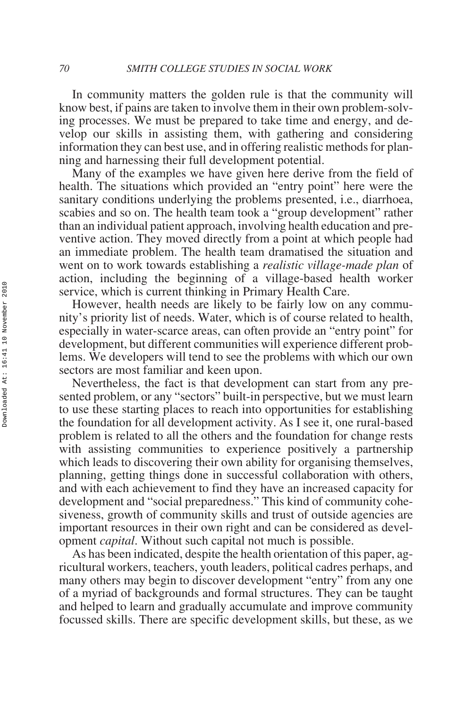In community matters the golden rule is that the community will know best, if pains are taken to involve them in their own problem-solving processes. We must be prepared to take time and energy, and develop our skills in assisting them, with gathering and considering information they can best use, and in offering realistic methods for planning and harnessing their full development potential.

Many of the examples we have given here derive from the field of health. The situations which provided an "entry point" here were the sanitary conditions underlying the problems presented, i.e., diarrhoea, scabies and so on. The health team took a "group development" rather than an individual patient approach, involving health education and preventive action. They moved directly from a point at which people had an immediate problem. The health team dramatised the situation and went on to work towards establishing a *realistic village-made plan* of action, including the beginning of a village-based health worker service, which is current thinking in Primary Health Care.

However, health needs are likely to be fairly low on any community's priority list of needs. Water, which is of course related to health, especially in water-scarce areas, can often provide an "entry point" for development, but different communities will experience different problems. We developers will tend to see the problems with which our own sectors are most familiar and keen upon.

Nevertheless, the fact is that development can start from any presented problem, or any "sectors" built-in perspective, but we must learn to use these starting places to reach into opportunities for establishing the foundation for all development activity. As I see it, one rural-based problem is related to all the others and the foundation for change rests with assisting communities to experience positively a partnership which leads to discovering their own ability for organising themselves, planning, getting things done in successful collaboration with others, and with each achievement to find they have an increased capacity for development and "social preparedness." This kind of community cohesiveness, growth of community skills and trust of outside agencies are important resources in their own right and can be considered as development *capital*. Without such capital not much is possible.

As has been indicated, despite the health orientation of this paper, agricultural workers, teachers, youth leaders, political cadres perhaps, and many others may begin to discover development "entry" from any one of a myriad of backgrounds and formal structures. They can be taught and helped to learn and gradually accumulate and improve community focussed skills. There are specific development skills, but these, as we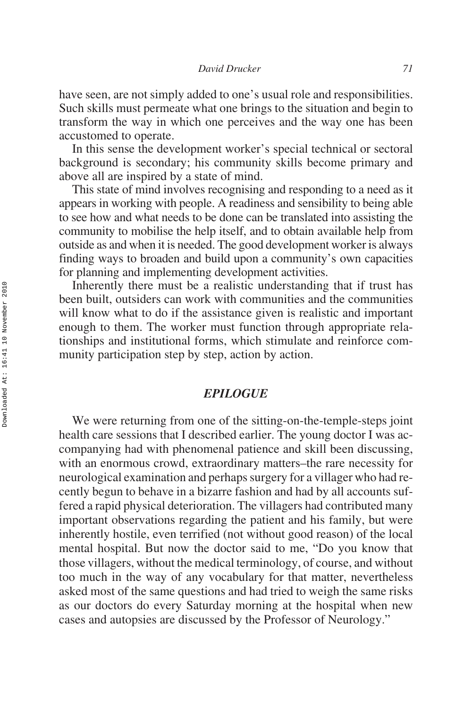have seen, are not simply added to one's usual role and responsibilities. Such skills must permeate what one brings to the situation and begin to transform the way in which one perceives and the way one has been accustomed to operate.

In this sense the development worker's special technical or sectoral background is secondary; his community skills become primary and above all are inspired by a state of mind.

This state of mind involves recognising and responding to a need as it appears in working with people. A readiness and sensibility to being able to see how and what needs to be done can be translated into assisting the community to mobilise the help itself, and to obtain available help from outside as and when it is needed. The good development worker is always finding ways to broaden and build upon a community's own capacities for planning and implementing development activities.

Inherently there must be a realistic understanding that if trust has been built, outsiders can work with communities and the communities will know what to do if the assistance given is realistic and important enough to them. The worker must function through appropriate relationships and institutional forms, which stimulate and reinforce community participation step by step, action by action.

# *EPILOGUE*

We were returning from one of the sitting-on-the-temple-steps joint health care sessions that I described earlier. The young doctor I was accompanying had with phenomenal patience and skill been discussing, with an enormous crowd, extraordinary matters–the rare necessity for neurological examination and perhaps surgery for a villager who had recently begun to behave in a bizarre fashion and had by all accounts suffered a rapid physical deterioration. The villagers had contributed many important observations regarding the patient and his family, but were inherently hostile, even terrified (not without good reason) of the local mental hospital. But now the doctor said to me, "Do you know that those villagers, without the medical terminology, of course, and without too much in the way of any vocabulary for that matter, nevertheless asked most of the same questions and had tried to weigh the same risks as our doctors do every Saturday morning at the hospital when new cases and autopsies are discussed by the Professor of Neurology."